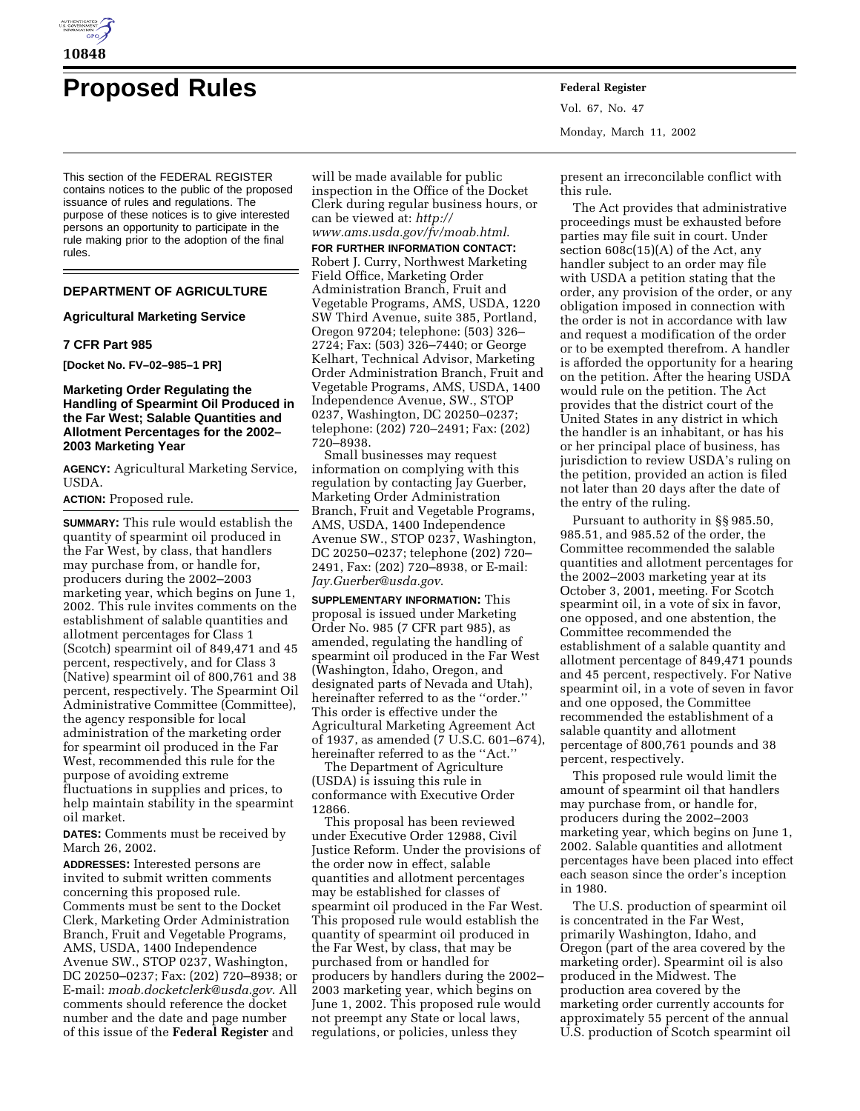

# **Proposed Rules Federal Register**

This section of the FEDERAL REGISTER contains notices to the public of the proposed issuance of rules and regulations. The purpose of these notices is to give interested persons an opportunity to participate in the rule making prior to the adoption of the final rules.

## **DEPARTMENT OF AGRICULTURE**

## **Agricultural Marketing Service**

#### **7 CFR Part 985**

**[Docket No. FV–02–985–1 PR]**

## **Marketing Order Regulating the Handling of Spearmint Oil Produced in the Far West; Salable Quantities and Allotment Percentages for the 2002– 2003 Marketing Year**

**AGENCY:** Agricultural Marketing Service, USDA.

**ACTION:** Proposed rule.

**SUMMARY:** This rule would establish the quantity of spearmint oil produced in the Far West, by class, that handlers may purchase from, or handle for, producers during the 2002–2003 marketing year, which begins on June 1, 2002. This rule invites comments on the establishment of salable quantities and allotment percentages for Class 1 (Scotch) spearmint oil of 849,471 and 45 percent, respectively, and for Class 3 (Native) spearmint oil of 800,761 and 38 percent, respectively. The Spearmint Oil Administrative Committee (Committee), the agency responsible for local administration of the marketing order for spearmint oil produced in the Far West, recommended this rule for the purpose of avoiding extreme fluctuations in supplies and prices, to help maintain stability in the spearmint oil market.

**DATES:** Comments must be received by March 26, 2002.

**ADDRESSES:** Interested persons are invited to submit written comments concerning this proposed rule. Comments must be sent to the Docket Clerk, Marketing Order Administration Branch, Fruit and Vegetable Programs, AMS, USDA, 1400 Independence Avenue SW., STOP 0237, Washington, DC 20250–0237; Fax: (202) 720–8938; or E-mail: *moab.docketclerk@usda.gov*. All comments should reference the docket number and the date and page number of this issue of the **Federal Register** and

will be made available for public inspection in the Office of the Docket Clerk during regular business hours, or can be viewed at: *http:// www.ams.usda.gov/fv/moab.html*.

**FOR FURTHER INFORMATION CONTACT:** Robert J. Curry, Northwest Marketing Field Office, Marketing Order Administration Branch, Fruit and Vegetable Programs, AMS, USDA, 1220 SW Third Avenue, suite 385, Portland, Oregon 97204; telephone: (503) 326– 2724; Fax: (503) 326–7440; or George Kelhart, Technical Advisor, Marketing Order Administration Branch, Fruit and Vegetable Programs, AMS, USDA, 1400 Independence Avenue, SW., STOP 0237, Washington, DC 20250–0237; telephone: (202) 720–2491; Fax: (202) 720–8938.

Small businesses may request information on complying with this regulation by contacting Jay Guerber, Marketing Order Administration Branch, Fruit and Vegetable Programs, AMS, USDA, 1400 Independence Avenue SW., STOP 0237, Washington, DC 20250–0237; telephone (202) 720– 2491, Fax: (202) 720–8938, or E-mail: *Jay.Guerber@usda.gov*.

**SUPPLEMENTARY INFORMATION:** This proposal is issued under Marketing Order No. 985 (7 CFR part 985), as amended, regulating the handling of spearmint oil produced in the Far West (Washington, Idaho, Oregon, and designated parts of Nevada and Utah), hereinafter referred to as the ''order.'' This order is effective under the Agricultural Marketing Agreement Act of 1937, as amended (7 U.S.C. 601–674), hereinafter referred to as the ''Act.''

The Department of Agriculture (USDA) is issuing this rule in conformance with Executive Order 12866.

This proposal has been reviewed under Executive Order 12988, Civil Justice Reform. Under the provisions of the order now in effect, salable quantities and allotment percentages may be established for classes of spearmint oil produced in the Far West. This proposed rule would establish the quantity of spearmint oil produced in the Far West, by class, that may be purchased from or handled for producers by handlers during the 2002– 2003 marketing year, which begins on June 1, 2002. This proposed rule would not preempt any State or local laws, regulations, or policies, unless they

Vol. 67, No. 47 Monday, March 11, 2002

present an irreconcilable conflict with this rule.

The Act provides that administrative proceedings must be exhausted before parties may file suit in court. Under section 608c(15)(A) of the Act, any handler subject to an order may file with USDA a petition stating that the order, any provision of the order, or any obligation imposed in connection with the order is not in accordance with law and request a modification of the order or to be exempted therefrom. A handler is afforded the opportunity for a hearing on the petition. After the hearing USDA would rule on the petition. The Act provides that the district court of the United States in any district in which the handler is an inhabitant, or has his or her principal place of business, has jurisdiction to review USDA's ruling on the petition, provided an action is filed not later than 20 days after the date of the entry of the ruling.

Pursuant to authority in §§ 985.50, 985.51, and 985.52 of the order, the Committee recommended the salable quantities and allotment percentages for the 2002–2003 marketing year at its October 3, 2001, meeting. For Scotch spearmint oil, in a vote of six in favor, one opposed, and one abstention, the Committee recommended the establishment of a salable quantity and allotment percentage of 849,471 pounds and 45 percent, respectively. For Native spearmint oil, in a vote of seven in favor and one opposed, the Committee recommended the establishment of a salable quantity and allotment percentage of 800,761 pounds and 38 percent, respectively.

This proposed rule would limit the amount of spearmint oil that handlers may purchase from, or handle for, producers during the 2002–2003 marketing year, which begins on June 1, 2002. Salable quantities and allotment percentages have been placed into effect each season since the order's inception in 1980.

The U.S. production of spearmint oil is concentrated in the Far West, primarily Washington, Idaho, and Oregon (part of the area covered by the marketing order). Spearmint oil is also produced in the Midwest. The production area covered by the marketing order currently accounts for approximately 55 percent of the annual U.S. production of Scotch spearmint oil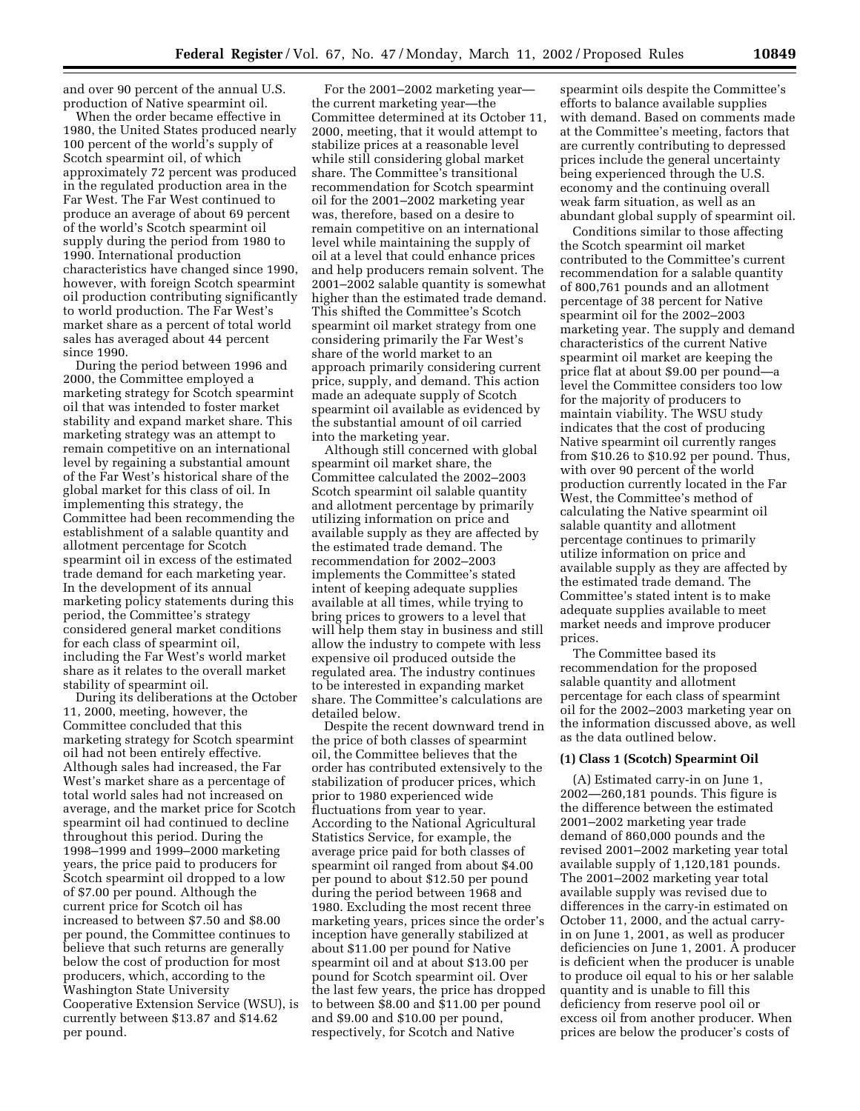and over 90 percent of the annual U.S. production of Native spearmint oil.

When the order became effective in 1980, the United States produced nearly 100 percent of the world's supply of Scotch spearmint oil, of which approximately 72 percent was produced in the regulated production area in the Far West. The Far West continued to produce an average of about 69 percent of the world's Scotch spearmint oil supply during the period from 1980 to 1990. International production characteristics have changed since 1990, however, with foreign Scotch spearmint oil production contributing significantly to world production. The Far West's market share as a percent of total world sales has averaged about 44 percent since 1990.

During the period between 1996 and 2000, the Committee employed a marketing strategy for Scotch spearmint oil that was intended to foster market stability and expand market share. This marketing strategy was an attempt to remain competitive on an international level by regaining a substantial amount of the Far West's historical share of the global market for this class of oil. In implementing this strategy, the Committee had been recommending the establishment of a salable quantity and allotment percentage for Scotch spearmint oil in excess of the estimated trade demand for each marketing year. In the development of its annual marketing policy statements during this period, the Committee's strategy considered general market conditions for each class of spearmint oil, including the Far West's world market share as it relates to the overall market stability of spearmint oil.

During its deliberations at the October 11, 2000, meeting, however, the Committee concluded that this marketing strategy for Scotch spearmint oil had not been entirely effective. Although sales had increased, the Far West's market share as a percentage of total world sales had not increased on average, and the market price for Scotch spearmint oil had continued to decline throughout this period. During the 1998–1999 and 1999–2000 marketing years, the price paid to producers for Scotch spearmint oil dropped to a low of \$7.00 per pound. Although the current price for Scotch oil has increased to between \$7.50 and \$8.00 per pound, the Committee continues to believe that such returns are generally below the cost of production for most producers, which, according to the Washington State University Cooperative Extension Service (WSU), is currently between \$13.87 and \$14.62 per pound.

For the 2001–2002 marketing year the current marketing year—the Committee determined at its October 11, 2000, meeting, that it would attempt to stabilize prices at a reasonable level while still considering global market share. The Committee's transitional recommendation for Scotch spearmint oil for the 2001–2002 marketing year was, therefore, based on a desire to remain competitive on an international level while maintaining the supply of oil at a level that could enhance prices and help producers remain solvent. The 2001–2002 salable quantity is somewhat higher than the estimated trade demand. This shifted the Committee's Scotch spearmint oil market strategy from one considering primarily the Far West's share of the world market to an approach primarily considering current price, supply, and demand. This action made an adequate supply of Scotch spearmint oil available as evidenced by the substantial amount of oil carried into the marketing year.

Although still concerned with global spearmint oil market share, the Committee calculated the 2002–2003 Scotch spearmint oil salable quantity and allotment percentage by primarily utilizing information on price and available supply as they are affected by the estimated trade demand. The recommendation for 2002–2003 implements the Committee's stated intent of keeping adequate supplies available at all times, while trying to bring prices to growers to a level that will help them stay in business and still allow the industry to compete with less expensive oil produced outside the regulated area. The industry continues to be interested in expanding market share. The Committee's calculations are detailed below.

Despite the recent downward trend in the price of both classes of spearmint oil, the Committee believes that the order has contributed extensively to the stabilization of producer prices, which prior to 1980 experienced wide fluctuations from year to year. According to the National Agricultural Statistics Service, for example, the average price paid for both classes of spearmint oil ranged from about \$4.00 per pound to about \$12.50 per pound during the period between 1968 and 1980. Excluding the most recent three marketing years, prices since the order's inception have generally stabilized at about \$11.00 per pound for Native spearmint oil and at about \$13.00 per pound for Scotch spearmint oil. Over the last few years, the price has dropped to between \$8.00 and \$11.00 per pound and \$9.00 and \$10.00 per pound, respectively, for Scotch and Native

spearmint oils despite the Committee's efforts to balance available supplies with demand. Based on comments made at the Committee's meeting, factors that are currently contributing to depressed prices include the general uncertainty being experienced through the U.S. economy and the continuing overall weak farm situation, as well as an abundant global supply of spearmint oil.

Conditions similar to those affecting the Scotch spearmint oil market contributed to the Committee's current recommendation for a salable quantity of 800,761 pounds and an allotment percentage of 38 percent for Native spearmint oil for the 2002–2003 marketing year. The supply and demand characteristics of the current Native spearmint oil market are keeping the price flat at about \$9.00 per pound—a level the Committee considers too low for the majority of producers to maintain viability. The WSU study indicates that the cost of producing Native spearmint oil currently ranges from \$10.26 to \$10.92 per pound. Thus, with over 90 percent of the world production currently located in the Far West, the Committee's method of calculating the Native spearmint oil salable quantity and allotment percentage continues to primarily utilize information on price and available supply as they are affected by the estimated trade demand. The Committee's stated intent is to make adequate supplies available to meet market needs and improve producer prices.

The Committee based its recommendation for the proposed salable quantity and allotment percentage for each class of spearmint oil for the 2002–2003 marketing year on the information discussed above, as well as the data outlined below.

#### **(1) Class 1 (Scotch) Spearmint Oil**

(A) Estimated carry-in on June 1, 2002—260,181 pounds. This figure is the difference between the estimated 2001–2002 marketing year trade demand of 860,000 pounds and the revised 2001–2002 marketing year total available supply of 1,120,181 pounds. The 2001–2002 marketing year total available supply was revised due to differences in the carry-in estimated on October 11, 2000, and the actual carryin on June 1, 2001, as well as producer deficiencies on June 1, 2001. A producer is deficient when the producer is unable to produce oil equal to his or her salable quantity and is unable to fill this deficiency from reserve pool oil or excess oil from another producer. When prices are below the producer's costs of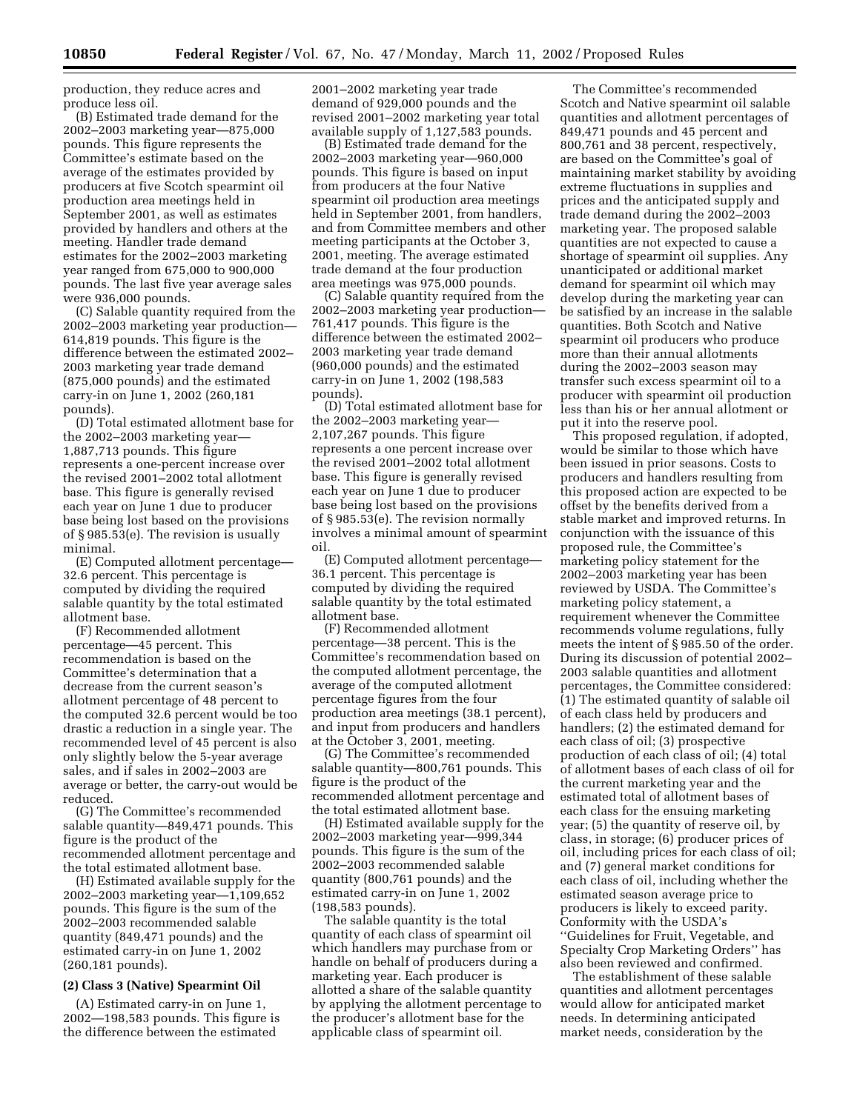production, they reduce acres and produce less oil.

(B) Estimated trade demand for the 2002–2003 marketing year—875,000 pounds. This figure represents the Committee's estimate based on the average of the estimates provided by producers at five Scotch spearmint oil production area meetings held in September 2001, as well as estimates provided by handlers and others at the meeting. Handler trade demand estimates for the 2002–2003 marketing year ranged from 675,000 to 900,000 pounds. The last five year average sales were 936,000 pounds.

(C) Salable quantity required from the 2002–2003 marketing year production— 614,819 pounds. This figure is the difference between the estimated 2002– 2003 marketing year trade demand (875,000 pounds) and the estimated carry-in on June 1, 2002 (260,181 pounds).

(D) Total estimated allotment base for the 2002–2003 marketing year— 1,887,713 pounds. This figure represents a one-percent increase over the revised 2001–2002 total allotment base. This figure is generally revised each year on June 1 due to producer base being lost based on the provisions of § 985.53(e). The revision is usually minimal.

(E) Computed allotment percentage— 32.6 percent. This percentage is computed by dividing the required salable quantity by the total estimated allotment base.

(F) Recommended allotment percentage—45 percent. This recommendation is based on the Committee's determination that a decrease from the current season's allotment percentage of 48 percent to the computed 32.6 percent would be too drastic a reduction in a single year. The recommended level of 45 percent is also only slightly below the 5-year average sales, and if sales in 2002–2003 are average or better, the carry-out would be reduced.

(G) The Committee's recommended salable quantity—849,471 pounds. This figure is the product of the recommended allotment percentage and the total estimated allotment base.

(H) Estimated available supply for the 2002–2003 marketing year—1,109,652 pounds. This figure is the sum of the 2002–2003 recommended salable quantity (849,471 pounds) and the estimated carry-in on June 1, 2002 (260,181 pounds).

## **(2) Class 3 (Native) Spearmint Oil**

(A) Estimated carry-in on June 1, 2002—198,583 pounds. This figure is the difference between the estimated

2001–2002 marketing year trade demand of 929,000 pounds and the revised 2001–2002 marketing year total available supply of 1,127,583 pounds.

(B) Estimated trade demand for the 2002–2003 marketing year—960,000 pounds. This figure is based on input from producers at the four Native spearmint oil production area meetings held in September 2001, from handlers, and from Committee members and other meeting participants at the October 3, 2001, meeting. The average estimated trade demand at the four production area meetings was 975,000 pounds.

(C) Salable quantity required from the 2002–2003 marketing year production— 761,417 pounds. This figure is the difference between the estimated 2002– 2003 marketing year trade demand (960,000 pounds) and the estimated carry-in on June 1, 2002 (198,583 pounds).

(D) Total estimated allotment base for the 2002–2003 marketing year— 2,107,267 pounds. This figure represents a one percent increase over the revised 2001–2002 total allotment base. This figure is generally revised each year on June 1 due to producer base being lost based on the provisions of § 985.53(e). The revision normally involves a minimal amount of spearmint oil.

(E) Computed allotment percentage— 36.1 percent. This percentage is computed by dividing the required salable quantity by the total estimated allotment base.

(F) Recommended allotment percentage—38 percent. This is the Committee's recommendation based on the computed allotment percentage, the average of the computed allotment percentage figures from the four production area meetings (38.1 percent), and input from producers and handlers at the October 3, 2001, meeting.

(G) The Committee's recommended salable quantity—800,761 pounds. This figure is the product of the recommended allotment percentage and the total estimated allotment base.

(H) Estimated available supply for the 2002–2003 marketing year—999,344 pounds. This figure is the sum of the 2002–2003 recommended salable quantity (800,761 pounds) and the estimated carry-in on June 1, 2002 (198,583 pounds).

The salable quantity is the total quantity of each class of spearmint oil which handlers may purchase from or handle on behalf of producers during a marketing year. Each producer is allotted a share of the salable quantity by applying the allotment percentage to the producer's allotment base for the applicable class of spearmint oil.

The Committee's recommended Scotch and Native spearmint oil salable quantities and allotment percentages of 849,471 pounds and 45 percent and 800,761 and 38 percent, respectively, are based on the Committee's goal of maintaining market stability by avoiding extreme fluctuations in supplies and prices and the anticipated supply and trade demand during the 2002–2003 marketing year. The proposed salable quantities are not expected to cause a shortage of spearmint oil supplies. Any unanticipated or additional market demand for spearmint oil which may develop during the marketing year can be satisfied by an increase in the salable quantities. Both Scotch and Native spearmint oil producers who produce more than their annual allotments during the 2002–2003 season may transfer such excess spearmint oil to a producer with spearmint oil production less than his or her annual allotment or put it into the reserve pool.

This proposed regulation, if adopted, would be similar to those which have been issued in prior seasons. Costs to producers and handlers resulting from this proposed action are expected to be offset by the benefits derived from a stable market and improved returns. In conjunction with the issuance of this proposed rule, the Committee's marketing policy statement for the 2002–2003 marketing year has been reviewed by USDA. The Committee's marketing policy statement, a requirement whenever the Committee recommends volume regulations, fully meets the intent of § 985.50 of the order. During its discussion of potential 2002– 2003 salable quantities and allotment percentages, the Committee considered: (1) The estimated quantity of salable oil of each class held by producers and handlers; (2) the estimated demand for each class of oil; (3) prospective production of each class of oil; (4) total of allotment bases of each class of oil for the current marketing year and the estimated total of allotment bases of each class for the ensuing marketing year; (5) the quantity of reserve oil, by class, in storage; (6) producer prices of oil, including prices for each class of oil; and (7) general market conditions for each class of oil, including whether the estimated season average price to producers is likely to exceed parity. Conformity with the USDA's ''Guidelines for Fruit, Vegetable, and Specialty Crop Marketing Orders'' has also been reviewed and confirmed.

The establishment of these salable quantities and allotment percentages would allow for anticipated market needs. In determining anticipated market needs, consideration by the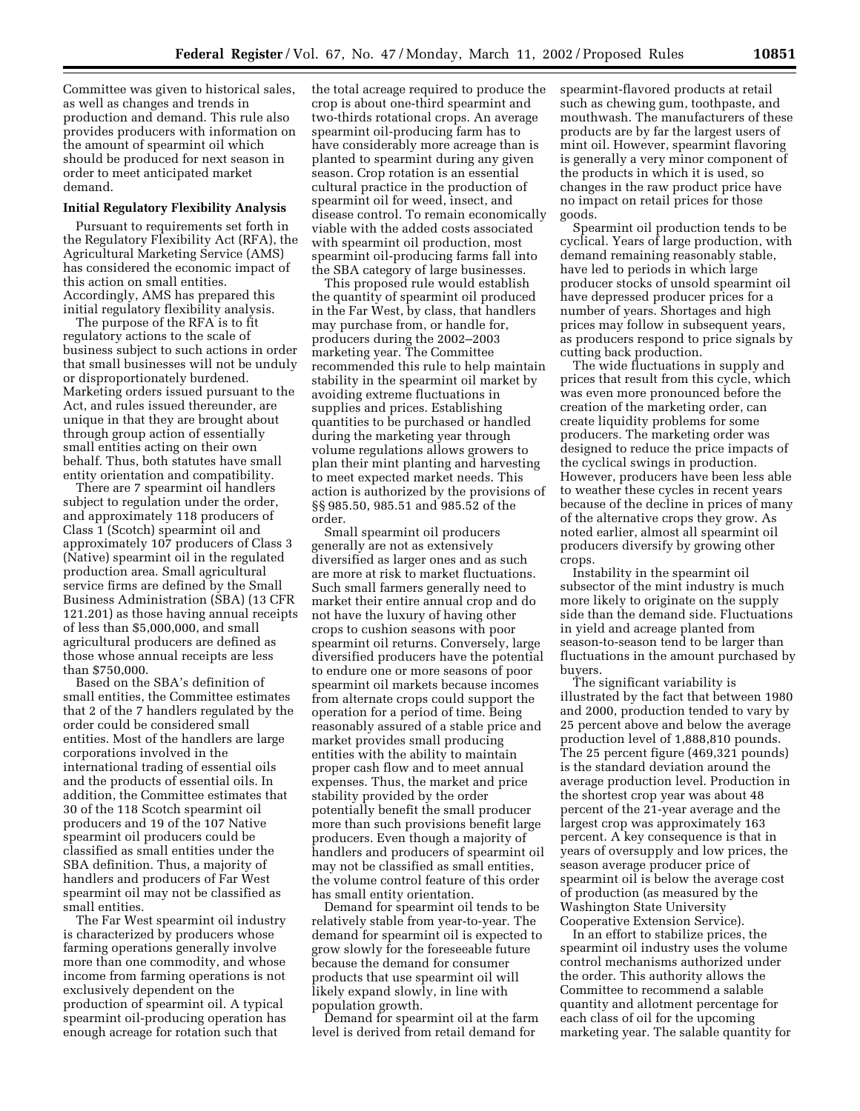Committee was given to historical sales, as well as changes and trends in production and demand. This rule also provides producers with information on the amount of spearmint oil which should be produced for next season in order to meet anticipated market demand.

## **Initial Regulatory Flexibility Analysis**

Pursuant to requirements set forth in the Regulatory Flexibility Act (RFA), the Agricultural Marketing Service (AMS) has considered the economic impact of this action on small entities. Accordingly, AMS has prepared this initial regulatory flexibility analysis.

The purpose of the RFA is to fit regulatory actions to the scale of business subject to such actions in order that small businesses will not be unduly or disproportionately burdened. Marketing orders issued pursuant to the Act, and rules issued thereunder, are unique in that they are brought about through group action of essentially small entities acting on their own behalf. Thus, both statutes have small entity orientation and compatibility.

There are 7 spearmint oil handlers subject to regulation under the order, and approximately 118 producers of Class 1 (Scotch) spearmint oil and approximately 107 producers of Class 3 (Native) spearmint oil in the regulated production area. Small agricultural service firms are defined by the Small Business Administration (SBA) (13 CFR 121.201) as those having annual receipts of less than \$5,000,000, and small agricultural producers are defined as those whose annual receipts are less than \$750,000.

Based on the SBA's definition of small entities, the Committee estimates that 2 of the 7 handlers regulated by the order could be considered small entities. Most of the handlers are large corporations involved in the international trading of essential oils and the products of essential oils. In addition, the Committee estimates that 30 of the 118 Scotch spearmint oil producers and 19 of the 107 Native spearmint oil producers could be classified as small entities under the SBA definition. Thus, a majority of handlers and producers of Far West spearmint oil may not be classified as small entities.

The Far West spearmint oil industry is characterized by producers whose farming operations generally involve more than one commodity, and whose income from farming operations is not exclusively dependent on the production of spearmint oil. A typical spearmint oil-producing operation has enough acreage for rotation such that

the total acreage required to produce the crop is about one-third spearmint and two-thirds rotational crops. An average spearmint oil-producing farm has to have considerably more acreage than is planted to spearmint during any given season. Crop rotation is an essential cultural practice in the production of spearmint oil for weed, insect, and disease control. To remain economically viable with the added costs associated with spearmint oil production, most spearmint oil-producing farms fall into the SBA category of large businesses.

This proposed rule would establish the quantity of spearmint oil produced in the Far West, by class, that handlers may purchase from, or handle for, producers during the 2002–2003 marketing year. The Committee recommended this rule to help maintain stability in the spearmint oil market by avoiding extreme fluctuations in supplies and prices. Establishing quantities to be purchased or handled during the marketing year through volume regulations allows growers to plan their mint planting and harvesting to meet expected market needs. This action is authorized by the provisions of §§ 985.50, 985.51 and 985.52 of the order.

Small spearmint oil producers generally are not as extensively diversified as larger ones and as such are more at risk to market fluctuations. Such small farmers generally need to market their entire annual crop and do not have the luxury of having other crops to cushion seasons with poor spearmint oil returns. Conversely, large diversified producers have the potential to endure one or more seasons of poor spearmint oil markets because incomes from alternate crops could support the operation for a period of time. Being reasonably assured of a stable price and market provides small producing entities with the ability to maintain proper cash flow and to meet annual expenses. Thus, the market and price stability provided by the order potentially benefit the small producer more than such provisions benefit large producers. Even though a majority of handlers and producers of spearmint oil may not be classified as small entities, the volume control feature of this order has small entity orientation.

Demand for spearmint oil tends to be relatively stable from year-to-year. The demand for spearmint oil is expected to grow slowly for the foreseeable future because the demand for consumer products that use spearmint oil will likely expand slowly, in line with population growth.

Demand for spearmint oil at the farm level is derived from retail demand for

spearmint-flavored products at retail such as chewing gum, toothpaste, and mouthwash. The manufacturers of these products are by far the largest users of mint oil. However, spearmint flavoring is generally a very minor component of the products in which it is used, so changes in the raw product price have no impact on retail prices for those goods.

Spearmint oil production tends to be cyclical. Years of large production, with demand remaining reasonably stable, have led to periods in which large producer stocks of unsold spearmint oil have depressed producer prices for a number of years. Shortages and high prices may follow in subsequent years, as producers respond to price signals by cutting back production.

The wide fluctuations in supply and prices that result from this cycle, which was even more pronounced before the creation of the marketing order, can create liquidity problems for some producers. The marketing order was designed to reduce the price impacts of the cyclical swings in production. However, producers have been less able to weather these cycles in recent years because of the decline in prices of many of the alternative crops they grow. As noted earlier, almost all spearmint oil producers diversify by growing other crops.

Instability in the spearmint oil subsector of the mint industry is much more likely to originate on the supply side than the demand side. Fluctuations in yield and acreage planted from season-to-season tend to be larger than fluctuations in the amount purchased by buyers.

The significant variability is illustrated by the fact that between 1980 and 2000, production tended to vary by 25 percent above and below the average production level of 1,888,810 pounds. The 25 percent figure (469,321 pounds) is the standard deviation around the average production level. Production in the shortest crop year was about 48 percent of the 21-year average and the largest crop was approximately 163 percent. A key consequence is that in years of oversupply and low prices, the season average producer price of spearmint oil is below the average cost of production (as measured by the Washington State University Cooperative Extension Service).

In an effort to stabilize prices, the spearmint oil industry uses the volume control mechanisms authorized under the order. This authority allows the Committee to recommend a salable quantity and allotment percentage for each class of oil for the upcoming marketing year. The salable quantity for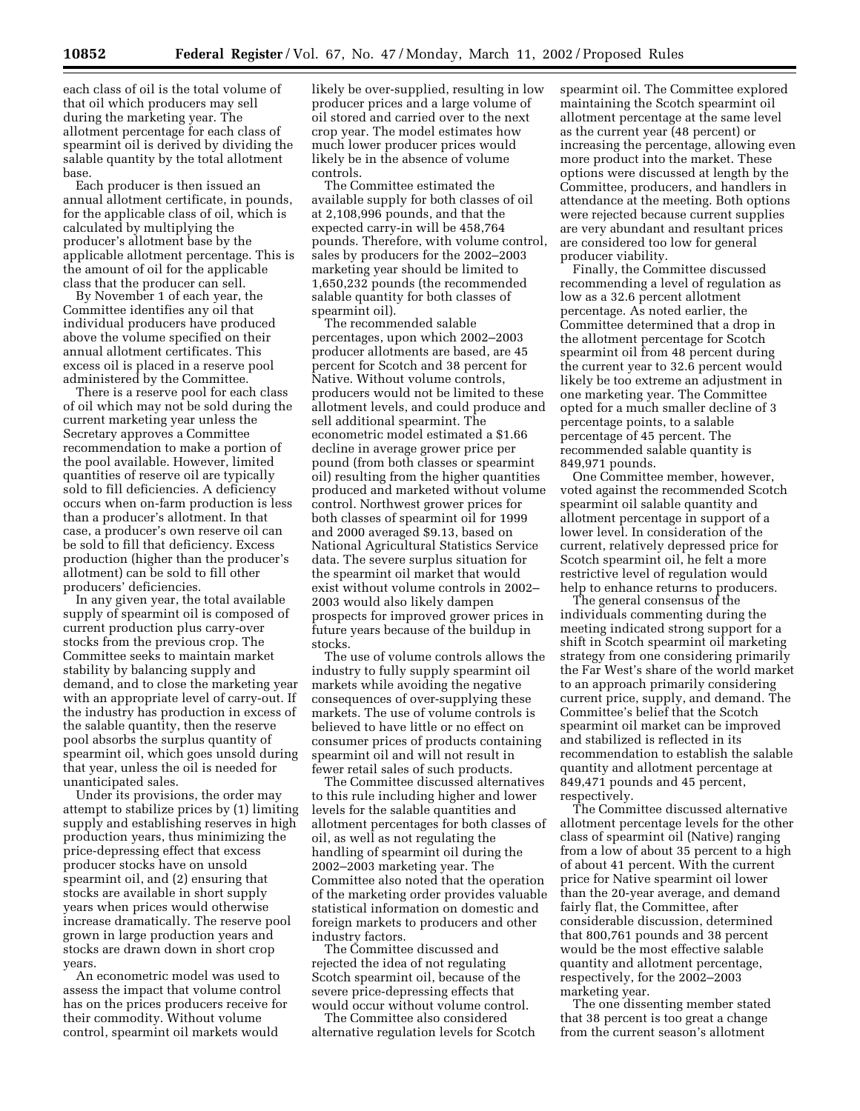each class of oil is the total volume of that oil which producers may sell during the marketing year. The allotment percentage for each class of spearmint oil is derived by dividing the salable quantity by the total allotment base.

Each producer is then issued an annual allotment certificate, in pounds, for the applicable class of oil, which is calculated by multiplying the producer's allotment base by the applicable allotment percentage. This is the amount of oil for the applicable class that the producer can sell.

By November 1 of each year, the Committee identifies any oil that individual producers have produced above the volume specified on their annual allotment certificates. This excess oil is placed in a reserve pool administered by the Committee.

There is a reserve pool for each class of oil which may not be sold during the current marketing year unless the Secretary approves a Committee recommendation to make a portion of the pool available. However, limited quantities of reserve oil are typically sold to fill deficiencies. A deficiency occurs when on-farm production is less than a producer's allotment. In that case, a producer's own reserve oil can be sold to fill that deficiency. Excess production (higher than the producer's allotment) can be sold to fill other producers' deficiencies.

In any given year, the total available supply of spearmint oil is composed of current production plus carry-over stocks from the previous crop. The Committee seeks to maintain market stability by balancing supply and demand, and to close the marketing year with an appropriate level of carry-out. If the industry has production in excess of the salable quantity, then the reserve pool absorbs the surplus quantity of spearmint oil, which goes unsold during that year, unless the oil is needed for unanticipated sales.

Under its provisions, the order may attempt to stabilize prices by (1) limiting supply and establishing reserves in high production years, thus minimizing the price-depressing effect that excess producer stocks have on unsold spearmint oil, and (2) ensuring that stocks are available in short supply years when prices would otherwise increase dramatically. The reserve pool grown in large production years and stocks are drawn down in short crop years.

An econometric model was used to assess the impact that volume control has on the prices producers receive for their commodity. Without volume control, spearmint oil markets would

likely be over-supplied, resulting in low producer prices and a large volume of oil stored and carried over to the next crop year. The model estimates how much lower producer prices would likely be in the absence of volume controls.

The Committee estimated the available supply for both classes of oil at 2,108,996 pounds, and that the expected carry-in will be 458,764 pounds. Therefore, with volume control, sales by producers for the 2002–2003 marketing year should be limited to 1,650,232 pounds (the recommended salable quantity for both classes of spearmint oil).

The recommended salable percentages, upon which 2002–2003 producer allotments are based, are 45 percent for Scotch and 38 percent for Native. Without volume controls, producers would not be limited to these allotment levels, and could produce and sell additional spearmint. The econometric model estimated a \$1.66 decline in average grower price per pound (from both classes or spearmint oil) resulting from the higher quantities produced and marketed without volume control. Northwest grower prices for both classes of spearmint oil for 1999 and 2000 averaged \$9.13, based on National Agricultural Statistics Service data. The severe surplus situation for the spearmint oil market that would exist without volume controls in 2002– 2003 would also likely dampen prospects for improved grower prices in future years because of the buildup in stocks.

The use of volume controls allows the industry to fully supply spearmint oil markets while avoiding the negative consequences of over-supplying these markets. The use of volume controls is believed to have little or no effect on consumer prices of products containing spearmint oil and will not result in fewer retail sales of such products.

The Committee discussed alternatives to this rule including higher and lower levels for the salable quantities and allotment percentages for both classes of oil, as well as not regulating the handling of spearmint oil during the 2002–2003 marketing year. The Committee also noted that the operation of the marketing order provides valuable statistical information on domestic and foreign markets to producers and other industry factors.

The Committee discussed and rejected the idea of not regulating Scotch spearmint oil, because of the severe price-depressing effects that would occur without volume control.

The Committee also considered alternative regulation levels for Scotch spearmint oil. The Committee explored maintaining the Scotch spearmint oil allotment percentage at the same level as the current year (48 percent) or increasing the percentage, allowing even more product into the market. These options were discussed at length by the Committee, producers, and handlers in attendance at the meeting. Both options were rejected because current supplies are very abundant and resultant prices are considered too low for general producer viability.

Finally, the Committee discussed recommending a level of regulation as low as a 32.6 percent allotment percentage. As noted earlier, the Committee determined that a drop in the allotment percentage for Scotch spearmint oil from 48 percent during the current year to 32.6 percent would likely be too extreme an adjustment in one marketing year. The Committee opted for a much smaller decline of 3 percentage points, to a salable percentage of 45 percent. The recommended salable quantity is 849,971 pounds.

One Committee member, however, voted against the recommended Scotch spearmint oil salable quantity and allotment percentage in support of a lower level. In consideration of the current, relatively depressed price for Scotch spearmint oil, he felt a more restrictive level of regulation would help to enhance returns to producers.

The general consensus of the individuals commenting during the meeting indicated strong support for a shift in Scotch spearmint oil marketing strategy from one considering primarily the Far West's share of the world market to an approach primarily considering current price, supply, and demand. The Committee's belief that the Scotch spearmint oil market can be improved and stabilized is reflected in its recommendation to establish the salable quantity and allotment percentage at 849,471 pounds and 45 percent, respectively.

The Committee discussed alternative allotment percentage levels for the other class of spearmint oil (Native) ranging from a low of about 35 percent to a high of about 41 percent. With the current price for Native spearmint oil lower than the 20-year average, and demand fairly flat, the Committee, after considerable discussion, determined that 800,761 pounds and 38 percent would be the most effective salable quantity and allotment percentage, respectively, for the 2002–2003 marketing year.

The one dissenting member stated that 38 percent is too great a change from the current season's allotment